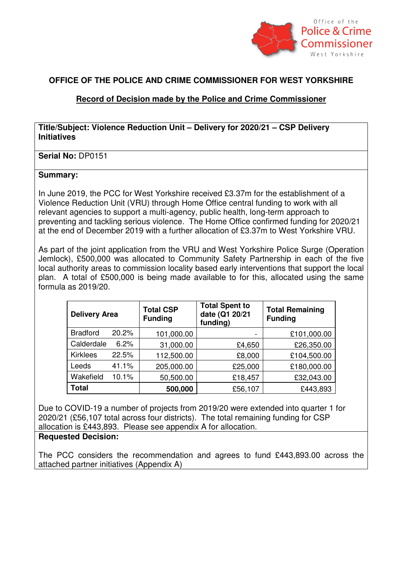

# **OFFICE OF THE POLICE AND CRIME COMMISSIONER FOR WEST YORKSHIRE**

# **Record of Decision made by the Police and Crime Commissioner**

## **Title/Subject: Violence Reduction Unit – Delivery for 2020/21 – CSP Delivery Initiatives**

### **Serial No: DP0151**

#### **Summary:**

In June 2019, the PCC for West Yorkshire received £3.37m for the establishment of a Violence Reduction Unit (VRU) through Home Office central funding to work with all relevant agencies to support a multi-agency, public health, long-term approach to preventing and tackling serious violence. The Home Office confirmed funding for 2020/21 at the end of December 2019 with a further allocation of £3.37m to West Yorkshire VRU.

As part of the joint application from the VRU and West Yorkshire Police Surge (Operation Jemlock), £500,000 was allocated to Community Safety Partnership in each of the five local authority areas to commission locality based early interventions that support the local plan. A total of £500,000 is being made available to for this, allocated using the same formula as 2019/20.

| <b>Delivery Area</b> |       | <b>Total CSP</b><br><b>Funding</b> | <b>Total Spent to</b><br>date (Q1 20/21<br>funding) | <b>Total Remaining</b><br><b>Funding</b> |
|----------------------|-------|------------------------------------|-----------------------------------------------------|------------------------------------------|
| <b>Bradford</b>      | 20.2% | 101,000.00                         |                                                     | £101,000.00                              |
| Calderdale           | 6.2%  | 31,000.00                          | £4,650                                              | £26,350.00                               |
| <b>Kirklees</b>      | 22.5% | 112,500.00                         | £8,000                                              | £104,500.00                              |
| Leeds                | 41.1% | 205,000.00                         | £25,000                                             | £180,000.00                              |
| Wakefield            | 10.1% | 50,500.00                          | £18,457                                             | £32,043.00                               |
| <b>Total</b>         |       | 500,000                            | £56,107                                             | £443,893                                 |

Due to COVID-19 a number of projects from 2019/20 were extended into quarter 1 for 2020/21 (£56,107 total across four districts). The total remaining funding for CSP allocation is £443,893. Please see appendix A for allocation.

#### **Requested Decision:**

The PCC considers the recommendation and agrees to fund £443,893.00 across the attached partner initiatives (Appendix A)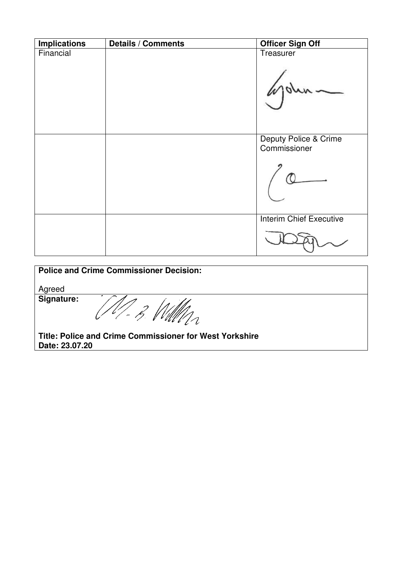| <b>Implications</b> | <b>Details / Comments</b> | <b>Officer Sign Off</b>               |
|---------------------|---------------------------|---------------------------------------|
| Financial           |                           | Treasurer                             |
|                     |                           | Deputy Police & Crime<br>Commissioner |
|                     |                           | <b>Interim Chief Executive</b>        |

| <b>Police and Crime Commissioner Decision:</b>          |  |  |  |  |
|---------------------------------------------------------|--|--|--|--|
| Agreed                                                  |  |  |  |  |
| Signature:                                              |  |  |  |  |
| Title: Police and Crime Commissioner for West Yorkshire |  |  |  |  |
| Date: 23.07.20                                          |  |  |  |  |